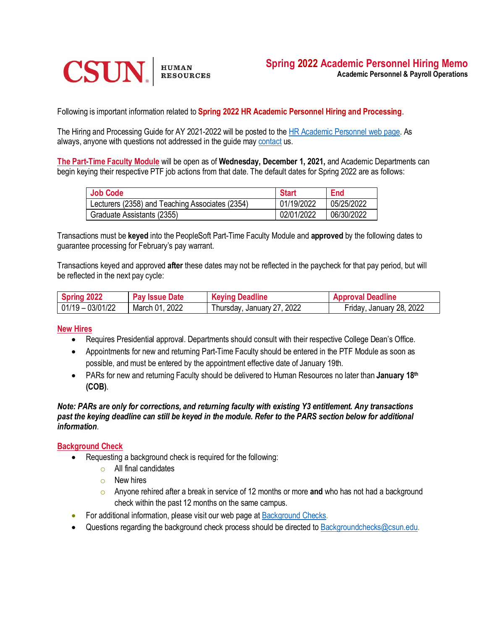

Following is important information related to **Spring 2022 HR Academic Personnel Hiring and Processing**.

The Hiring and Processing Guide for AY 2021-2022 will be posted to the [HR Academic Personnel web page.](https://www.csun.edu/sites/default/files/2020-2021-hr-ap-hiring-and-processing-guide.pdf) As always, anyone with questions not addressed in the guide may [contact](https://www.csun.edu/sites/default/files/HR-Payroll-and-Operations-Roster-Contact-Listing.pdf) us.

**The Part-Time Faculty Module** will be open as of **Wednesday, December 1, 2021,** and Academic Departments can begin keying their respective PTF job actions from that date. The default dates for Spring 2022 are as follows:

| <b>Job Code</b>                                 | <b>Start</b> | End        |
|-------------------------------------------------|--------------|------------|
| Lecturers (2358) and Teaching Associates (2354) | 01/19/2022   | 05/25/2022 |
| Graduate Assistants (2355)                      | 02/01/2022   | 06/30/2022 |

Transactions must be **keyed** into the PeopleSoft Part-Time Faculty Module and **approved** by the following dates to guarantee processing for February's pay warrant.

Transactions keyed and approved **after** these dates may not be reflected in the paycheck for that pay period, but will be reflected in the next pay cycle:

| Spring 2022          | <b>Pay Issue Date</b> | <b>Keying Deadline</b>     | <b>Approval Deadline</b> |
|----------------------|-----------------------|----------------------------|--------------------------|
| $ 01/19 - 03/01/22 $ | March 01, 2022        | Thursday, January 27, 2022 | Friday, January 28, 2022 |

#### **New Hires**

- Requires Presidential approval. Departments should consult with their respective College Dean's Office.
- Appointments for new and returning Part-Time Faculty should be entered in the PTF Module as soon as possible, and must be entered by the appointment effective date of January 19th.
- PARs for new and returning Faculty should be delivered to Human Resources no later than **January 18th (COB)**.

#### *Note: PARs are only for corrections, and returning faculty with existing Y3 entitlement. Any transactions past the keying deadline can still be keyed in the module. Refer to the PARS section below for additional information.*

### **Background Check**

- Requesting a background check is required for the following:
	- $\circ$  All final candidates
	- o New hires
	- o Anyone rehired after a break in service of 12 months or more **and** who has not had a background check within the past 12 months on the same campus.
- For additional information, please visit our web page at **Background Checks**.
- Questions regarding the background check process should be directed to [Backgroundchecks@csun.edu.](mailto:Backgroundchecks@csun.edu)